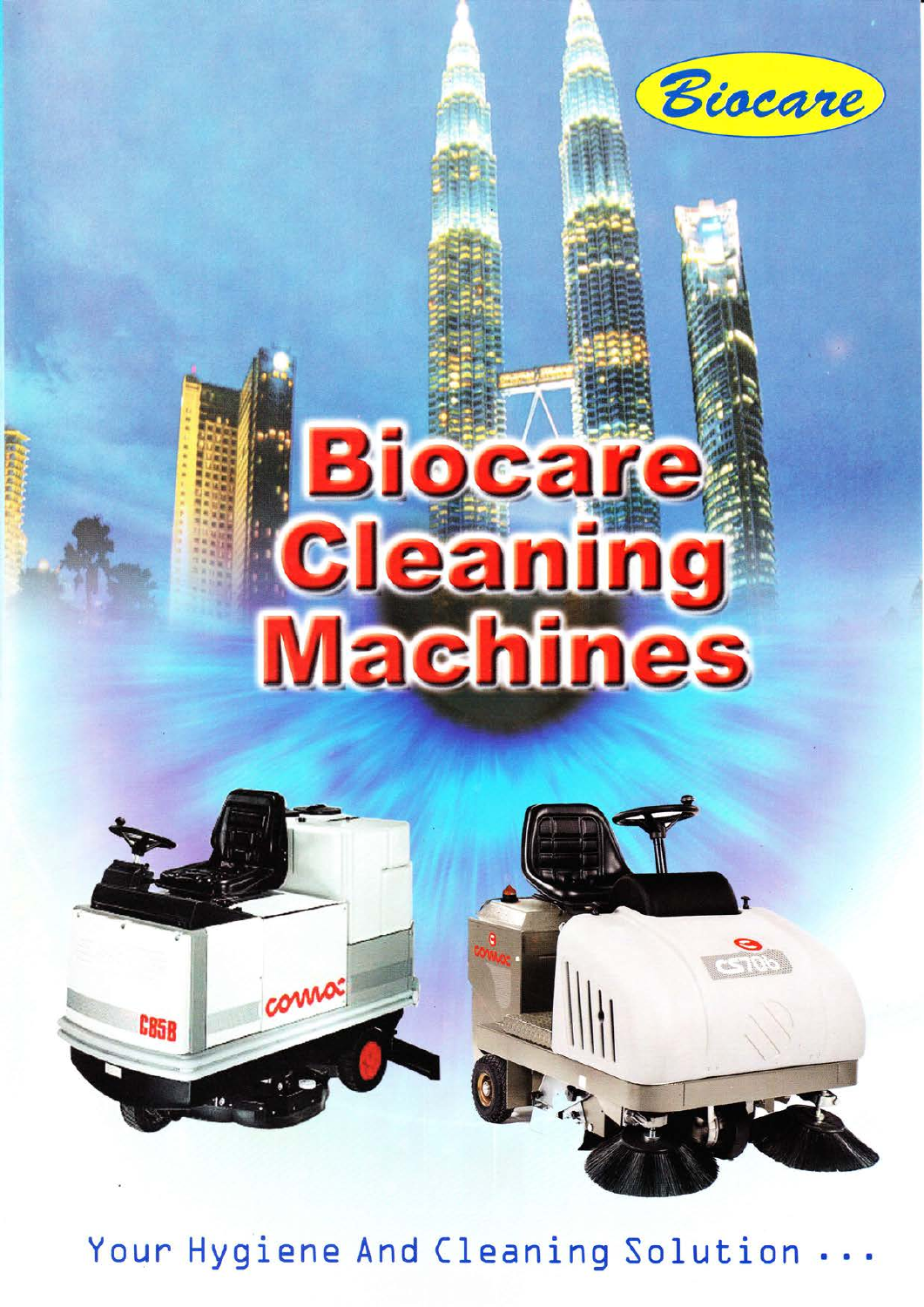

# Bioca **ICE** le G **Machines**





Your Hygiene And Cleaning Solution ...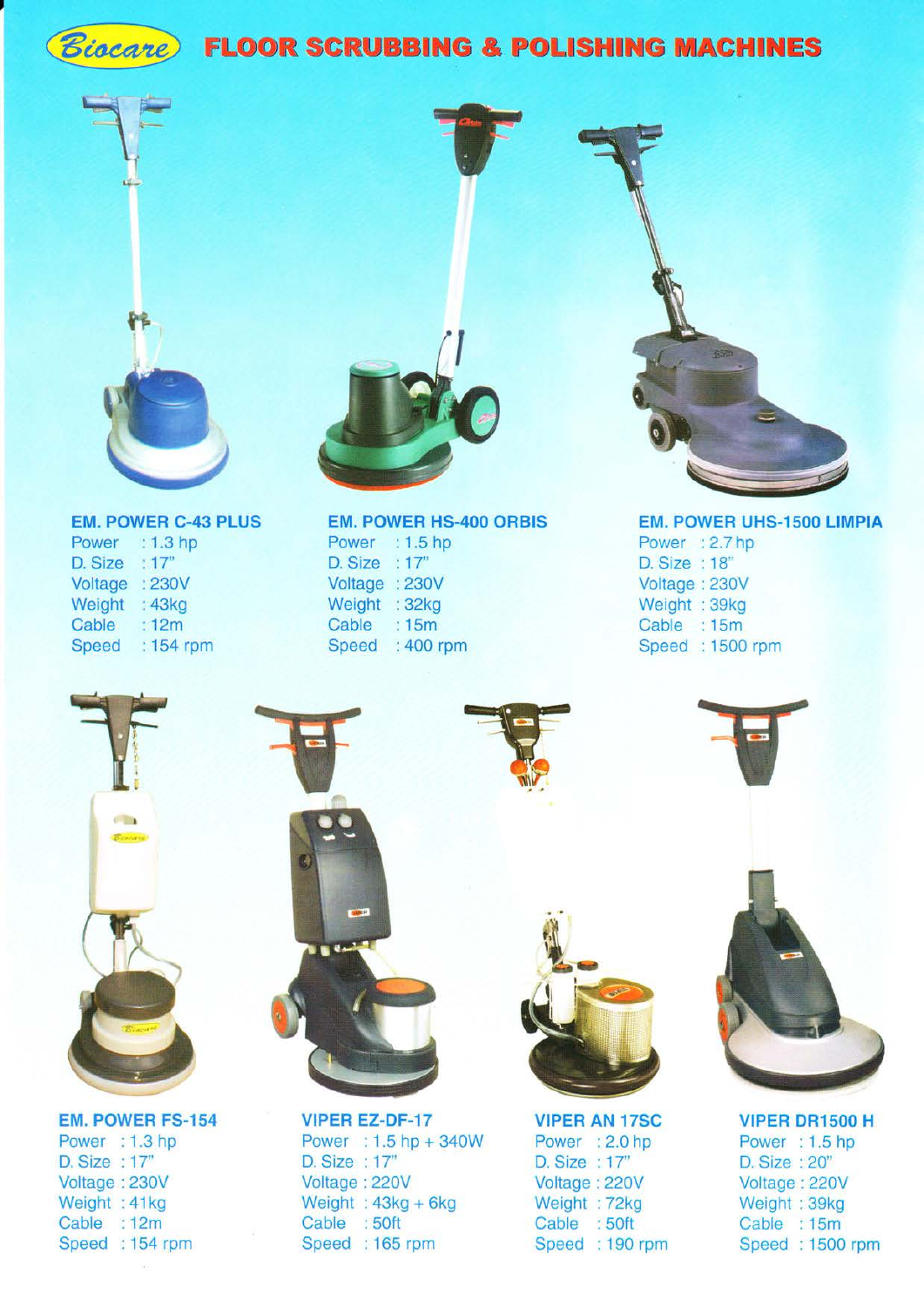

# *Biocare* FLOOR SCRUBBING & POLISHING MACHINES



### EM. POWER C.43 PLUS

Power : 1.3 hp D. Size : 17" Voltage :230V Weight : 43kg Cable :12m Speed : 154 rpm



Power : 1.5 hp D. Size : 17" Voltage :230V Weight : 32kg Cable : 15m Speed: 400 rpm



### EM, POWER UHS.15OO LIMPIA Power : 2.7 hp D. Size : 18' Voltage: 230V Weight : 39kg Cable : 15m Speed :1500 rpm



### EM. POWEB FS.154

Power : 1.3 hp D. Size : 17" Voltage : 230V Weight : 41kg Cable :12m Speed : 154 rpm



VIPER EZ.DF.17 Power : 1.5 hp + 340W D. Size : 17" Voltage :220V Weight :  $43kg + 6kg$ Cable : 50ft Speed: 165 rpm



VIPER AN 17SC Power : 2.0 hp D. Size : 17" Voltage: 220V Weight : 72kg Cable :50ft Speed : 190 rpm



VIPER DR15OO H Power : 1.5 hp D. Size : 20" Voltage: 220V Weight : 39kg Cable : 15m Speed :1500 rpm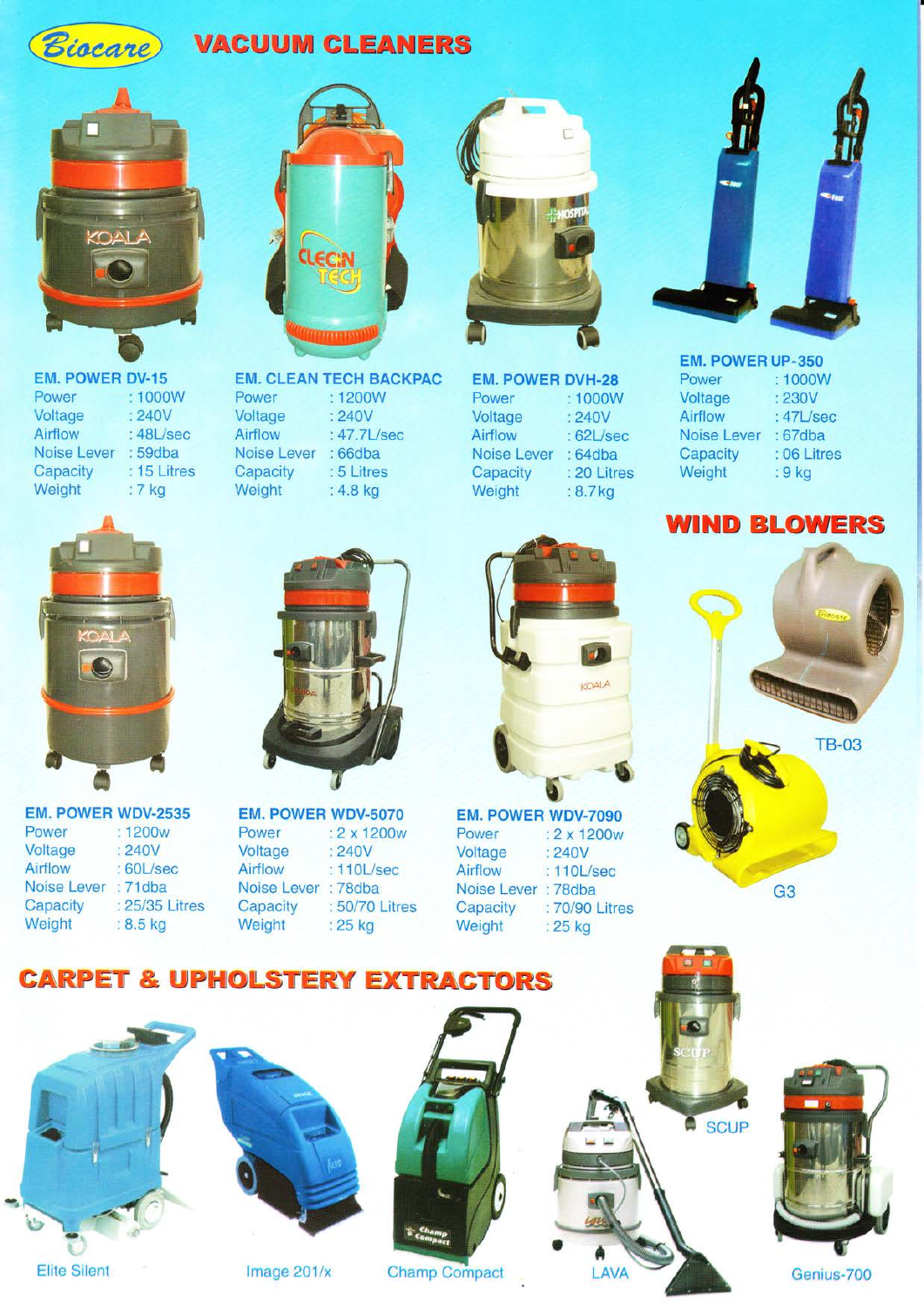# *Biacane* **VACUUM CLEANERS**

**CLEC:N** 



Power Voltage Airflow : 48L/sec Noise Lever : 59dba<br>Capacity : 15 Litre Weight EM. POWER DV-15 :1000W 240V



EM. POWEB WDV-2535 Power : 1200w<br>Voltage : 240V Voltage Airflow : 60L/sec Noise Lever : 71dba



Power Voltage Airflow

**Capacity Weight** 

Noise Lever 66dba

1200w 240V 47.7Usec

5 Litres 4.8 kg

Capacity : 25/35 Litres Weight : 8.5 kg

Power Voltage :2 x 1200w Voltage : 240V<br>Airflow : 110L/sec Noise Lever : 78dba Capacity : 50/70 Litres Weight : 25 kg



EM. CLEAN TECH BACKPAC EM. POWER DVH-28 Power Voltage Airflow Noise Lever **Capacity Weight** 1000w 240V 62Usec 64dba 20 Litres 8.7 kg



EM. POWEB UP-350 Power :1000W Voltage : 230V<br>Airflow : 47L/s  $:47L/sec$ Noise Lever : 67dba<br>Capacity : 06 Litre : 06 Litres<br>: 9 kg Weight

### WIND BLOWERS



EM. POWER WDV-5070 EM. POWER WDV.7OgO Power : 2 x 1200w Voltage : 240V<br>Airflow : 110L/ : 110L/sec Noise Lever : 78dba Capacity : 70/90 Litres<br>Weight : 25 kg :  $25$  kg WDV-5070 EM. POWER WDV-7090<br>
2 x 1200w Power : 2 x 1200w 0



G3

## **CARPET & UPHOLSTERY EXTRACTORS**